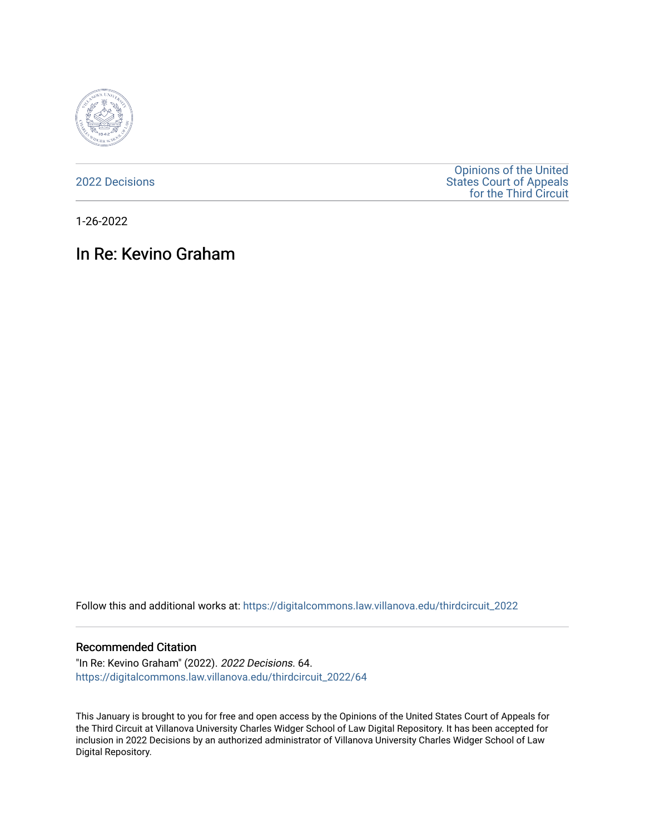

[2022 Decisions](https://digitalcommons.law.villanova.edu/thirdcircuit_2022)

[Opinions of the United](https://digitalcommons.law.villanova.edu/thirdcircuit)  [States Court of Appeals](https://digitalcommons.law.villanova.edu/thirdcircuit)  [for the Third Circuit](https://digitalcommons.law.villanova.edu/thirdcircuit) 

1-26-2022

# In Re: Kevino Graham

Follow this and additional works at: [https://digitalcommons.law.villanova.edu/thirdcircuit\\_2022](https://digitalcommons.law.villanova.edu/thirdcircuit_2022?utm_source=digitalcommons.law.villanova.edu%2Fthirdcircuit_2022%2F64&utm_medium=PDF&utm_campaign=PDFCoverPages) 

#### Recommended Citation

"In Re: Kevino Graham" (2022). 2022 Decisions. 64. [https://digitalcommons.law.villanova.edu/thirdcircuit\\_2022/64](https://digitalcommons.law.villanova.edu/thirdcircuit_2022/64?utm_source=digitalcommons.law.villanova.edu%2Fthirdcircuit_2022%2F64&utm_medium=PDF&utm_campaign=PDFCoverPages)

This January is brought to you for free and open access by the Opinions of the United States Court of Appeals for the Third Circuit at Villanova University Charles Widger School of Law Digital Repository. It has been accepted for inclusion in 2022 Decisions by an authorized administrator of Villanova University Charles Widger School of Law Digital Repository.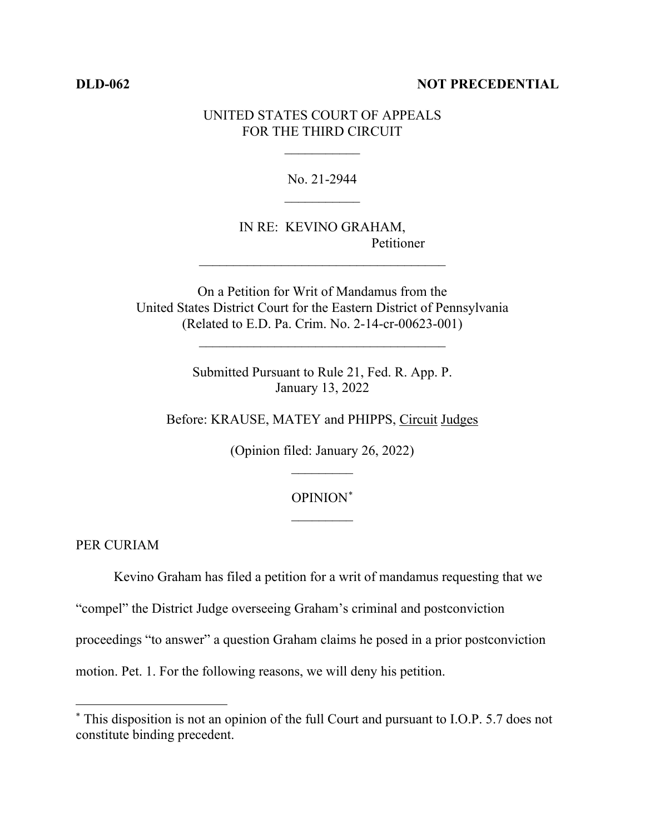### **DLD-062 NOT PRECEDENTIAL**

## UNITED STATES COURT OF APPEALS FOR THE THIRD CIRCUIT

 $\frac{1}{2}$ 

No. 21-2944  $\frac{1}{2}$ 

IN RE: KEVINO GRAHAM, Petitioner

On a Petition for Writ of Mandamus from the United States District Court for the Eastern District of Pennsylvania (Related to E.D. Pa. Crim. No. 2-14-cr-00623-001)

 $\mathcal{L}_\text{max}$  , where  $\mathcal{L}_\text{max}$  and  $\mathcal{L}_\text{max}$  and  $\mathcal{L}_\text{max}$ 

 $\mathcal{L}_\text{max}$  , where  $\mathcal{L}_\text{max}$  is the set of the set of the set of the set of the set of the set of the set of the set of the set of the set of the set of the set of the set of the set of the set of the set of the se

Submitted Pursuant to Rule 21, Fed. R. App. P. January 13, 2022

Before: KRAUSE, MATEY and PHIPPS, Circuit Judges

(Opinion filed: January 26, 2022)  $\frac{1}{2}$ 

# OPINION\*  $\frac{1}{2}$

PER CURIAM

Kevino Graham has filed a petition for a writ of mandamus requesting that we

"compel" the District Judge overseeing Graham's criminal and postconviction

proceedings "to answer" a question Graham claims he posed in a prior postconviction

motion. Pet. 1. For the following reasons, we will deny his petition.

<sup>\*</sup> This disposition is not an opinion of the full Court and pursuant to I.O.P. 5.7 does not constitute binding precedent.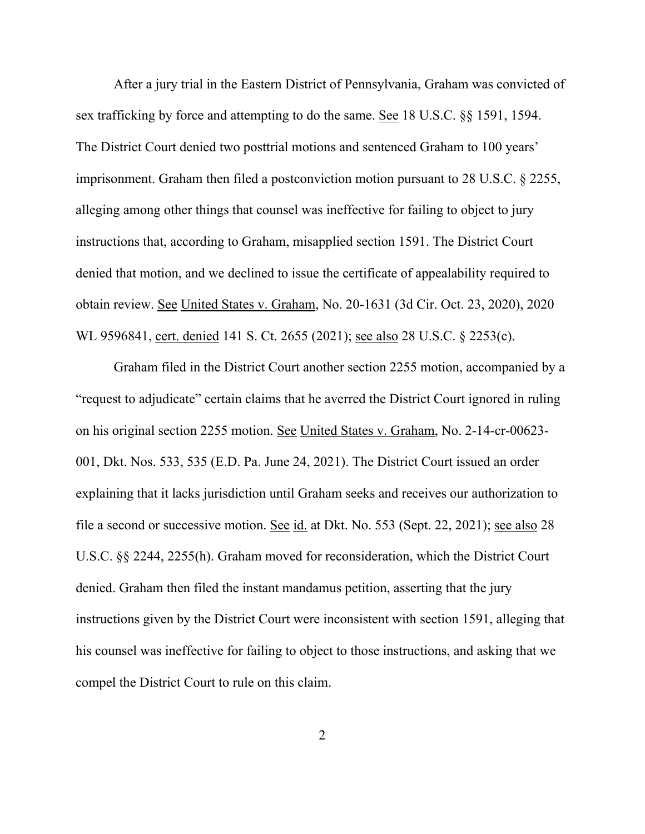After a jury trial in the Eastern District of Pennsylvania, Graham was convicted of sex trafficking by force and attempting to do the same. See 18 U.S.C. §§ 1591, 1594. The District Court denied two posttrial motions and sentenced Graham to 100 years' imprisonment. Graham then filed a postconviction motion pursuant to 28 U.S.C. § 2255, alleging among other things that counsel was ineffective for failing to object to jury instructions that, according to Graham, misapplied section 1591. The District Court denied that motion, and we declined to issue the certificate of appealability required to obtain review. See United States v. Graham, No. 20-1631 (3d Cir. Oct. 23, 2020), 2020 WL 9596841, cert. denied 141 S. Ct. 2655 (2021); see also 28 U.S.C. § 2253(c).

Graham filed in the District Court another section 2255 motion, accompanied by a "request to adjudicate" certain claims that he averred the District Court ignored in ruling on his original section 2255 motion. See United States v. Graham, No. 2-14-cr-00623- 001, Dkt. Nos. 533, 535 (E.D. Pa. June 24, 2021). The District Court issued an order explaining that it lacks jurisdiction until Graham seeks and receives our authorization to file a second or successive motion. See id. at Dkt. No. 553 (Sept. 22, 2021); see also 28 U.S.C. §§ 2244, 2255(h). Graham moved for reconsideration, which the District Court denied. Graham then filed the instant mandamus petition, asserting that the jury instructions given by the District Court were inconsistent with section 1591, alleging that his counsel was ineffective for failing to object to those instructions, and asking that we compel the District Court to rule on this claim.

2